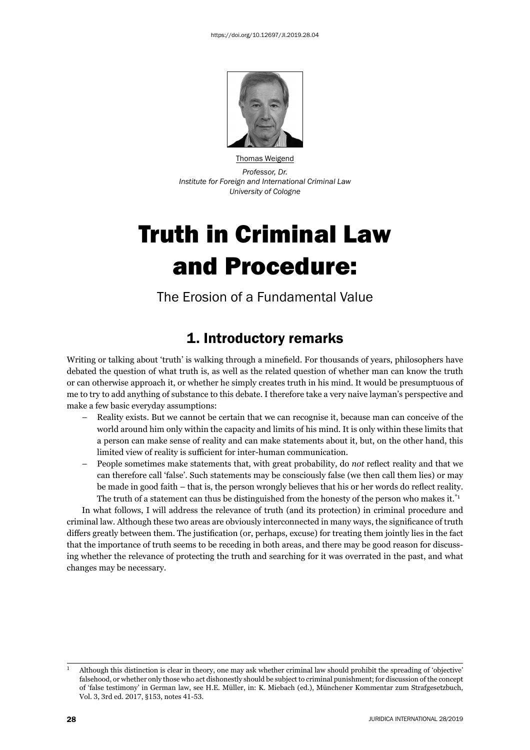

Thomas Weigend *Professor, Dr. Institute for Foreign and International Criminal Law University of Cologne*

# Truth in Criminal Law and Procedure:

The Erosion of a Fundamental Value

## 1. Introductory remarks

Writing or talking about 'truth' is walking through a minefield. For thousands of years, philosophers have debated the question of what truth is, as well as the related question of whether man can know the truth or can otherwise approach it, or whether he simply creates truth in his mind. It would be presumptuous of me to try to add anything of substance to this debate. I therefore take a very naive layman's perspective and make a few basic everyday assumptions:

- Reality exists. But we cannot be certain that we can recognise it, because man can conceive of the world around him only within the capacity and limits of his mind. It is only within these limits that a person can make sense of reality and can make statements about it, but, on the other hand, this limited view of reality is sufficient for inter-human communication.
- People sometimes make statements that, with great probability, do *not* reflect reality and that we can therefore call 'false'. Such statements may be consciously false (we then call them lies) or may be made in good faith – that is, the person wrongly believes that his or her words do reflect reality. The truth of a statement can thus be distinguished from the honesty of the person who makes it.<sup>\*1</sup>

In what follows, I will address the relevance of truth (and its protection) in criminal procedure and criminal law. Although these two areas are obviously interconnected in many ways, the significance of truth differs greatly between them. The justification (or, perhaps, excuse) for treating them jointly lies in the fact that the importance of truth seems to be receding in both areas, and there may be good reason for discussing whether the relevance of protecting the truth and searching for it was overrated in the past, and what changes may be necessary.

<sup>&</sup>lt;sup>1</sup> Although this distinction is clear in theory, one may ask whether criminal law should prohibit the spreading of 'objective' falsehood, or whether only those who act dishonestly should be subject to criminal punishment; for discussion of the concept of 'false testimony' in German law, see H.E. Müller, in: K. Miebach (ed.), Münchener Kommentar zum Strafgesetzbuch, Vol. 3, 3rd ed. 2017, §153, notes 41-53.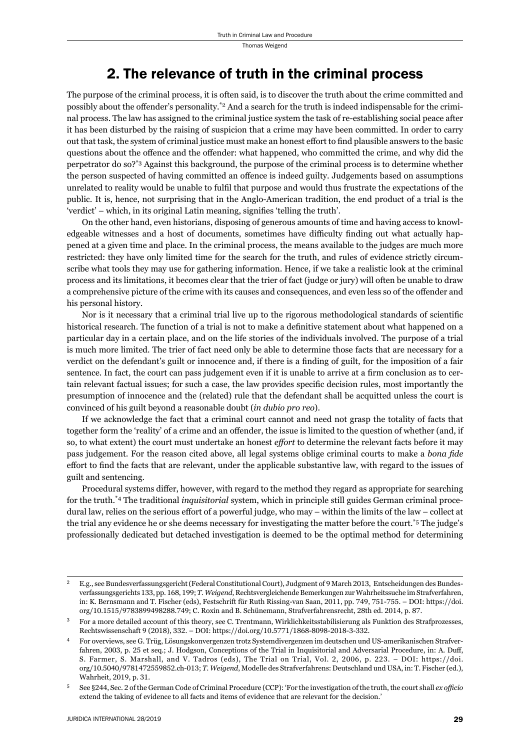### 2. The relevance of truth in the criminal process

The purpose of the criminal process, it is often said, is to discover the truth about the crime committed and possibly about the offender's personality.<sup>\*2</sup> And a search for the truth is indeed indispensable for the criminal process. The law has assigned to the criminal justice system the task of re-establishing social peace after it has been disturbed by the raising of suspicion that a crime may have been committed. In order to carry out that task, the system of criminal justice must make an honest effort to find plausible answers to the basic questions about the offence and the offender: what happened, who committed the crime, and why did the perpetrator do so?\*3 Against this background, the purpose of the criminal process is to determine whether the person suspected of having committed an offence is indeed guilty. Judgements based on assumptions unrelated to reality would be unable to fulfi l that purpose and would thus frustrate the expectations of the public. It is, hence, not surprising that in the Anglo-American tradition, the end product of a trial is the 'verdict' – which, in its original Latin meaning, signifies 'telling the truth'.

On the other hand, even historians, disposing of generous amounts of time and having access to knowledgeable witnesses and a host of documents, sometimes have difficulty finding out what actually happened at a given time and place. In the criminal process, the means available to the judges are much more restricted: they have only limited time for the search for the truth, and rules of evidence strictly circumscribe what tools they may use for gathering information. Hence, if we take a realistic look at the criminal process and its limitations, it becomes clear that the trier of fact (judge or jury) will often be unable to draw a comprehensive picture of the crime with its causes and consequences, and even less so of the offender and his personal history.

Nor is it necessary that a criminal trial live up to the rigorous methodological standards of scientific historical research. The function of a trial is not to make a definitive statement about what happened on a particular day in a certain place, and on the life stories of the individuals involved. The purpose of a trial is much more limited. The trier of fact need only be able to determine those facts that are necessary for a verdict on the defendant's guilt or innocence and, if there is a finding of guilt, for the imposition of a fair sentence. In fact, the court can pass judgement even if it is unable to arrive at a firm conclusion as to certain relevant factual issues; for such a case, the law provides specific decision rules, most importantly the presumption of innocence and the (related) rule that the defendant shall be acquitted unless the court is convinced of his guilt beyond a reasonable doubt (*in dubio pro reo*).

If we acknowledge the fact that a criminal court cannot and need not grasp the totality of facts that together form the 'reality' of a crime and an offender, the issue is limited to the question of whether (and, if so, to what extent) the court must undertake an honest *effort* to determine the relevant facts before it may pass judgement. For the reason cited above, all legal systems oblige criminal courts to make a *bona fide* effort to find the facts that are relevant, under the applicable substantive law, with regard to the issues of guilt and sentencing.

Procedural systems differ, however, with regard to the method they regard as appropriate for searching for the truth.\*4 The traditional *inquisitorial* system, which in principle still guides German criminal procedural law, relies on the serious effort of a powerful judge, who may – within the limits of the law – collect at the trial any evidence he or she deems necessary for investigating the matter before the court.\*5 The judge's professionally dedicated but detached investigation is deemed to be the optimal method for determining

E.g., see Bundesverfassungsgericht (Federal Constitutional Court), Judgment of 9 March 2013, Entscheidungen des Bundesverfassungsgerichts 133, pp. 168, 199; *T. Weigend*, Rechtsvergleichende Bemerkungen zur Wahrheitssuche im Strafverfahren, in: K. Bernsmann and T. Fischer (eds), Festschrift für Ruth Rissing-van Saan, 2011, pp. 749, 751-755. – DOI: https://doi. org/10.1515/9783899498288.749; C. Roxin and B. Schünemann, Strafverfahrensrecht, 28th ed. 2014, p. 87.

<sup>ɴ</sup> For a more detailed account of this theory, see C. Trentmann, Wirklichkeitsstabilisierung als Funktion des Strafprozesses, Rechtswissenschaft 9 (2018), 332. – DOI: https://doi.org/10.5771/1868-8098-2018-3-332.

ɵ For overviews, see G. Trüg, Lösungskonvergenzen trotz Systemdivergenzen im deutschen und US-amerikanischen Strafverfahren, 2003, p. 25 et seq.; J. Hodgson, Conceptions of the Trial in Inquisitorial and Adversarial Procedure, in: A. Duff, S. Farmer, S. Marshall, and V. Tadros (eds), The Trial on Trial, Vol. 2, 2006, p. 223. – DOI: https://doi. org/10.5040/9781472559852.ch-013; T. Weigend, Modelle des Strafverfahrens: Deutschland und USA, in: T. Fischer (ed.), Wahrheit, 2019, p. 31.

<sup>5</sup> See §244, Sec. 2 of the German Code of Criminal Procedure (CCP): 'For the investigation of the truth, the court shall *ex officio* extend the taking of evidence to all facts and items of evidence that are relevant for the decision.'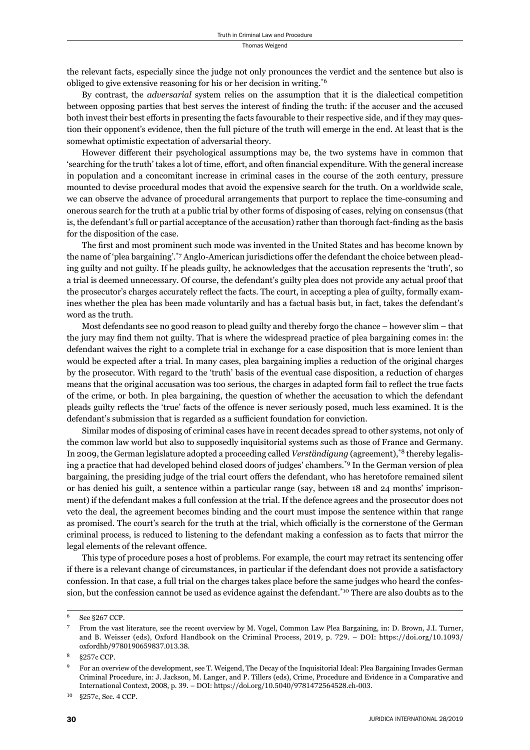the relevant facts, especially since the judge not only pronounces the verdict and the sentence but also is obliged to give extensive reasoning for his or her decision in writing.\*6

By contrast, the *adversarial* system relies on the assumption that it is the dialectical competition between opposing parties that best serves the interest of finding the truth: if the accuser and the accused both invest their best efforts in presenting the facts favourable to their respective side, and if they may question their opponent's evidence, then the full picture of the truth will emerge in the end. At least that is the somewhat optimistic expectation of adversarial theory.

However different their psychological assumptions may be, the two systems have in common that 'searching for the truth' takes a lot of time, effort, and often financial expenditure. With the general increase in population and a concomitant increase in criminal cases in the course of the 20th century, pressure mounted to devise procedural modes that avoid the expensive search for the truth. On a worldwide scale, we can observe the advance of procedural arrangements that purport to replace the time-consuming and onerous search for the truth at a public trial by other forms of disposing of cases, relying on consensus (that is, the defendant's full or partial acceptance of the accusation) rather than thorough fact-finding as the basis for the disposition of the case.

The first and most prominent such mode was invented in the United States and has become known by the name of 'plea bargaining'.\*7 Anglo-American jurisdictions offer the defendant the choice between pleading guilty and not guilty. If he pleads guilty, he acknowledges that the accusation represents the 'truth', so a trial is deemed unnecessary. Of course, the defendant's guilty plea does not provide any actual proof that the prosecutor's charges accurately reflect the facts. The court, in accepting a plea of guilty, formally examines whether the plea has been made voluntarily and has a factual basis but, in fact, takes the defendant's word as the truth.

Most defendants see no good reason to plead guilty and thereby forgo the chance – however slim – that the jury may find them not guilty. That is where the widespread practice of plea bargaining comes in: the defendant waives the right to a complete trial in exchange for a case disposition that is more lenient than would be expected after a trial. In many cases, plea bargaining implies a reduction of the original charges by the prosecutor. With regard to the 'truth' basis of the eventual case disposition, a reduction of charges means that the original accusation was too serious, the charges in adapted form fail to reflect the true facts of the crime, or both. In plea bargaining, the question of whether the accusation to which the defendant pleads guilty reflects the 'true' facts of the offence is never seriously posed, much less examined. It is the defendant's submission that is regarded as a sufficient foundation for conviction.

Similar modes of disposing of criminal cases have in recent decades spread to other systems, not only of the common law world but also to supposedly inquisitorial systems such as those of France and Germany. In 2009, the German legislature adopted a proceeding called *Verständigung* (agreement),\*8 thereby legalising a practice that had developed behind closed doors of judges' chambers.\*9 In the German version of plea bargaining, the presiding judge of the trial court offers the defendant, who has heretofore remained silent or has denied his guilt, a sentence within a particular range (say, between 18 and 24 months' imprisonment) if the defendant makes a full confession at the trial. If the defence agrees and the prosecutor does not veto the deal, the agreement becomes binding and the court must impose the sentence within that range as promised. The court's search for the truth at the trial, which officially is the cornerstone of the German criminal process, is reduced to listening to the defendant making a confession as to facts that mirror the legal elements of the relevant offence.

This type of procedure poses a host of problems. For example, the court may retract its sentencing offer if there is a relevant change of circumstances, in particular if the defendant does not provide a satisfactory confession. In that case, a full trial on the charges takes place before the same judges who heard the confession, but the confession cannot be used as evidence against the defendant.\*10 There are also doubts as to the

<sup>6</sup> See §267 CCP.

<sup>ɸ</sup> From the vast literature, see the recent overview by M. Vogel, Common Law Plea Bargaining, in: D. Brown, J.I. Turner, and B. Weisser (eds), Oxford Handbook on the Criminal Process, 2019, p. 729. – DOI: https://doi.org/10.1093/ oxfordhb/9780190659837.013.38.

<sup>8 §257</sup>c CCP.

For an overview of the development, see T. Weigend, The Decay of the Inquisitorial Ideal: Plea Bargaining Invades German Criminal Procedure, in: J. Jackson, M. Langer, and P. Tillers (eds), Crime, Procedure and Evidence in a Comparative and International Context, 2008, p. 39. – DOI: https://doi.org/10.5040/9781472564528.ch-003.

<sup>10 §257</sup>c, Sec. 4 CCP.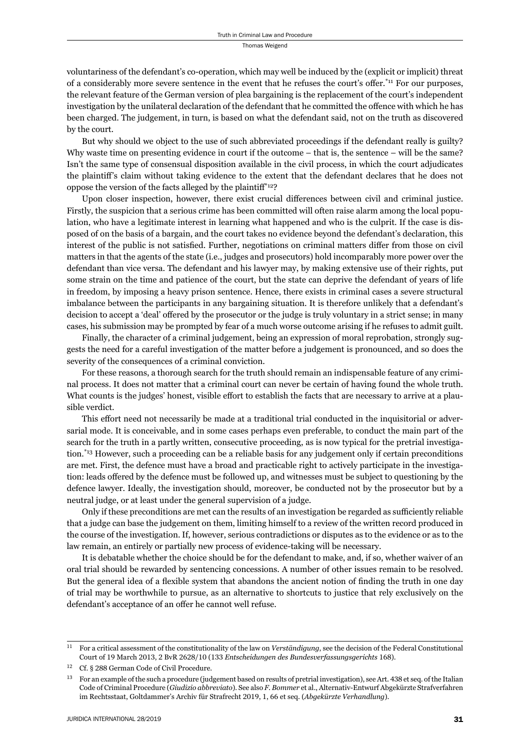voluntariness of the defendant's co-operation, which may well be induced by the (explicit or implicit) threat of a considerably more severe sentence in the event that he refuses the court's offer.<sup>\*11</sup> For our purposes, the relevant feature of the German version of plea bargaining is the replacement of the court's independent investigation by the unilateral declaration of the defendant that he committed the offence with which he has been charged. The judgement, in turn, is based on what the defendant said, not on the truth as discovered by the court.

But why should we object to the use of such abbreviated proceedings if the defendant really is guilty? Why waste time on presenting evidence in court if the outcome – that is, the sentence – will be the same? Isn't the same type of consensual disposition available in the civil process, in which the court adjudicates the plaintiff 's claim without taking evidence to the extent that the defendant declares that he does not oppose the version of the facts alleged by the plaintiff\*12?

Upon closer inspection, however, there exist crucial differences between civil and criminal justice. Firstly, the suspicion that a serious crime has been committed will often raise alarm among the local population, who have a legitimate interest in learning what happened and who is the culprit. If the case is disposed of on the basis of a bargain, and the court takes no evidence beyond the defendant's declaration, this interest of the public is not satisfied. Further, negotiations on criminal matters differ from those on civil matters in that the agents of the state (i.e., judges and prosecutors) hold incomparably more power over the defendant than vice versa. The defendant and his lawyer may, by making extensive use of their rights, put some strain on the time and patience of the court, but the state can deprive the defendant of years of life in freedom, by imposing a heavy prison sentence. Hence, there exists in criminal cases a severe structural imbalance between the participants in any bargaining situation. It is therefore unlikely that a defendant's decision to accept a 'deal' offered by the prosecutor or the judge is truly voluntary in a strict sense; in many cases, his submission may be prompted by fear of a much worse outcome arising if he refuses to admit guilt.

Finally, the character of a criminal judgement, being an expression of moral reprobation, strongly suggests the need for a careful investigation of the matter before a judgement is pronounced, and so does the severity of the consequences of a criminal conviction.

For these reasons, a thorough search for the truth should remain an indispensable feature of any criminal process. It does not matter that a criminal court can never be certain of having found the whole truth. What counts is the judges' honest, visible effort to establish the facts that are necessary to arrive at a plausible verdict.

This effort need not necessarily be made at a traditional trial conducted in the inquisitorial or adversarial mode. It is conceivable, and in some cases perhaps even preferable, to conduct the main part of the search for the truth in a partly written, consecutive proceeding, as is now typical for the pretrial investigation.<sup>\*13</sup> However, such a proceeding can be a reliable basis for any judgement only if certain preconditions are met. First, the defence must have a broad and practicable right to actively participate in the investigation: leads offered by the defence must be followed up, and witnesses must be subject to questioning by the defence lawyer. Ideally, the investigation should, moreover, be conducted not by the prosecutor but by a neutral judge, or at least under the general supervision of a judge.

Only if these preconditions are met can the results of an investigation be regarded as sufficiently reliable that a judge can base the judgement on them, limiting himself to a review of the written record produced in the course of the investigation. If, however, serious contradictions or disputes as to the evidence or as to the law remain, an entirely or partially new process of evidence-taking will be necessary.

It is debatable whether the choice should be for the defendant to make, and, if so, whether waiver of an oral trial should be rewarded by sentencing concessions. A number of other issues remain to be resolved. But the general idea of a flexible system that abandons the ancient notion of finding the truth in one day of trial may be worthwhile to pursue, as an alternative to shortcuts to justice that rely exclusively on the defendant's acceptance of an offer he cannot well refuse.

ɲɲ For a critical assessment of the constitutionality of the law on *Verständigung*, see the decision of the Federal Constitutional Court of 19 March 2013, 2 BvR 2628/10 (133 *Entscheidungen des Bundesverfassungsgerichts* 168).

<sup>&</sup>lt;sup>12</sup> Cf. § 288 German Code of Civil Procedure.

<sup>&</sup>lt;sup>13</sup> For an example of the such a procedure (judgement based on results of pretrial investigation), see Art. 438 et seq. of the Italian Code of Criminal Procedure (*Giudizio abbreviato*). See also *F. Bommer* et al., Alternativ-Entwurf Abgekürzte Strafverfahren im Rechtsstaat, Goltdammer's Archiv für Strafrecht 2019, 1, 66 et seq. (Abgekürzte Verhandlung).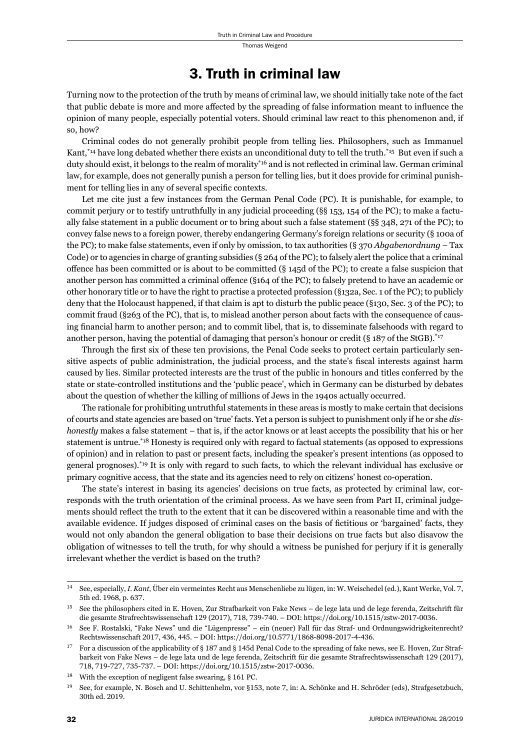#### 3. Truth in criminal law

Turning now to the protection of the truth by means of criminal law, we should initially take note of the fact that public debate is more and more affected by the spreading of false information meant to influence the opinion of many people, especially potential voters. Should criminal law react to this phenomenon and, if so, how?

Criminal codes do not generally prohibit people from telling lies. Philosophers, such as Immanuel Kant,\*14 have long debated whether there exists an unconditional duty to tell the truth.\*15 But even if such a duty should exist, it belongs to the realm of morality<sup>\*16</sup> and is not reflected in criminal law. German criminal law, for example, does not generally punish a person for telling lies, but it does provide for criminal punishment for telling lies in any of several specific contexts.

Let me cite just a few instances from the German Penal Code (PC). It is punishable, for example, to commit perjury or to testify untruthfully in any judicial proceeding (§§ 153, 154 of the PC); to make a factually false statement in a public document or to bring about such a false statement (§§ 348, 271 of the PC); to convey false news to a foreign power, thereby endangering Germany's foreign relations or security (§ 100a of the PC); to make false statements, even if only by omission, to tax authorities (§ 370 *Abgabenordnung* – Tax Code) or to agencies in charge of granting subsidies (§ 264 of the PC); to falsely alert the police that a criminal offence has been committed or is about to be committed  $(S_{145d}$  of the PC); to create a false suspicion that another person has committed a criminal offence (§164 of the PC); to falsely pretend to have an academic or other honorary title or to have the right to practise a protected profession (§132a, Sec. 1 of the PC); to publicly deny that the Holocaust happened, if that claim is apt to disturb the public peace (§130, Sec. 3 of the PC); to commit fraud (§263 of the PC), that is, to mislead another person about facts with the consequence of causing financial harm to another person; and to commit libel, that is, to disseminate falsehoods with regard to another person, having the potential of damaging that person's honour or credit (§ 187 of the StGB).<sup>\*17</sup>

Through the first six of these ten provisions, the Penal Code seeks to protect certain particularly sensitive aspects of public administration, the judicial process, and the state's fiscal interests against harm caused by lies. Similar protected interests are the trust of the public in honours and titles conferred by the state or state-controlled institutions and the 'public peace', which in Germany can be disturbed by debates about the question of whether the killing of millions of Jews in the 1940s actually occurred.

The rationale for prohibiting untruthful statements in these areas is mostly to make certain that decisions of courts and state agencies are based on 'true' facts. Yet a person is subject to punishment only if he or she *dishonestly* makes a false statement – that is, if the actor knows or at least accepts the possibility that his or her statement is untrue.\*18 Honesty is required only with regard to factual statements (as opposed to expressions of opinion) and in relation to past or present facts, including the speaker's present intentions (as opposed to general prognoses).\*19 It is only with regard to such facts, to which the relevant individual has exclusive or primary cognitive access, that the state and its agencies need to rely on citizens' honest co-operation.

The state's interest in basing its agencies' decisions on true facts, as protected by criminal law, corresponds with the truth orientation of the criminal process. As we have seen from Part II, criminal judgements should reflect the truth to the extent that it can be discovered within a reasonable time and with the available evidence. If judges disposed of criminal cases on the basis of fictitious or 'bargained' facts, they would not only abandon the general obligation to base their decisions on true facts but also disavow the obligation of witnesses to tell the truth, for why should a witness be punished for perjury if it is generally irrelevant whether the verdict is based on the truth?

<sup>&</sup>lt;sup>14</sup> See, especially, *I. Kant*, Über ein vermeintes Recht aus Menschenliebe zu lügen, in: W. Weischedel (ed.), Kant Werke, Vol. 7, 5th ed. 1968, p. 637.

See the philosophers cited in E. Hoven, Zur Strafbarkeit von Fake News – de lege lata und de lege ferenda, Zeitschrift für die gesamte Strafrechtswissenschaft 129 (2017), 718, 739-740. – DOI: https://doi.org/10.1515/zstw-2017-0036.

<sup>&</sup>lt;sup>16</sup> See F. Rostalski, "Fake News" und die "Lügenpresse" – ein (neuer) Fall für das Straf- und Ordnungswidrigkeitenrecht? Rechtswissenschaft 2017, 436, 445. – DOI: https://doi.org/10.5771/1868-8098-2017-4-436.

<sup>&</sup>lt;sup>17</sup> For a discussion of the applicability of § 187 and § 145d Penal Code to the spreading of fake news, see E. Hoven, Zur Strafbarkeit von Fake News – de lege lata und de lege ferenda, Zeitschrift für die gesamte Strafrechtswissenschaft 129 (2017), 718, 719-727, 735-737. – DOI: https://doi.org/10.1515/zstw-2017-0036.

 $18$  With the exception of negligent false swearing, § 161 PC.

<sup>&</sup>lt;sup>19</sup> See, for example, N. Bosch and U. Schittenhelm, vor §153, note 7, in: A. Schönke and H. Schröder (eds), Strafgesetzbuch, 30th ed. 2019.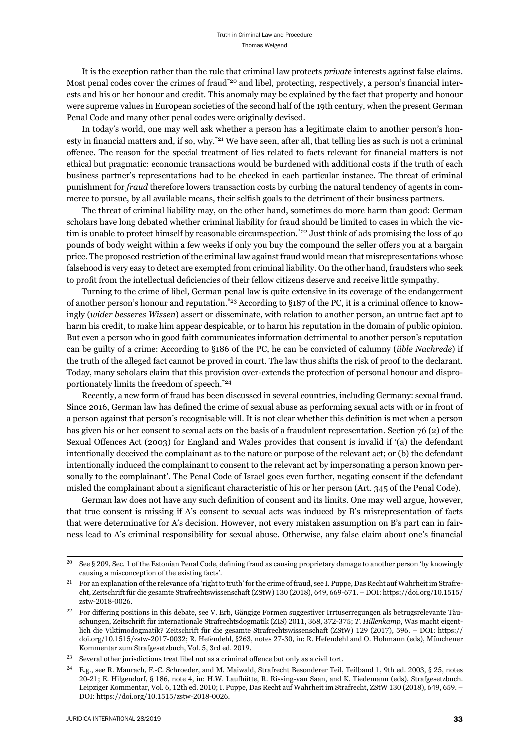It is the exception rather than the rule that criminal law protects *private* interests against false claims. Most penal codes cover the crimes of fraud<sup>\*20</sup> and libel, protecting, respectively, a person's financial interests and his or her honour and credit. This anomaly may be explained by the fact that property and honour were supreme values in European societies of the second half of the 19th century, when the present German Penal Code and many other penal codes were originally devised.

In today's world, one may well ask whether a person has a legitimate claim to another person's honesty in financial matters and, if so, why.<sup>\*21</sup> We have seen, after all, that telling lies as such is not a criminal offence. The reason for the special treatment of lies related to facts relevant for financial matters is not ethical but pragmatic: economic transactions would be burdened with additional costs if the truth of each business partner's representations had to be checked in each particular instance. The threat of criminal punishment for *fraud* therefore lowers transaction costs by curbing the natural tendency of agents in commerce to pursue, by all available means, their selfish goals to the detriment of their business partners.

The threat of criminal liability may, on the other hand, sometimes do more harm than good: German scholars have long debated whether criminal liability for fraud should be limited to cases in which the victim is unable to protect himself by reasonable circumspection.<sup>\*22</sup> Just think of ads promising the loss of 40 pounds of body weight within a few weeks if only you buy the compound the seller offers you at a bargain price. The proposed restriction of the criminal law against fraud would mean that misrepresentations whose falsehood is very easy to detect are exempted from criminal liability. On the other hand, fraudsters who seek to profit from the intellectual deficiencies of their fellow citizens deserve and receive little sympathy.

Turning to the crime of libel, German penal law is quite extensive in its coverage of the endangerment of another person's honour and reputation.<sup>\*23</sup> According to §187 of the PC, it is a criminal offence to knowingly (*wider besseres Wissen*) assert or disseminate, with relation to another person, an untrue fact apt to harm his credit, to make him appear despicable, or to harm his reputation in the domain of public opinion. But even a person who in good faith communicates information detrimental to another person's reputation can be guilty of a crime: According to §186 of the PC, he can be convicted of calumny (*üble Nachrede*) if the truth of the alleged fact cannot be proved in court. The law thus shifts the risk of proof to the declarant. Today, many scholars claim that this provision over-extends the protection of personal honour and disproportionately limits the freedom of speech.\*24

Recently, a new form of fraud has been discussed in several countries, including Germany: sexual fraud. Since 2016, German law has defined the crime of sexual abuse as performing sexual acts with or in front of a person against that person's recognisable will. It is not clear whether this definition is met when a person has given his or her consent to sexual acts on the basis of a fraudulent representation. Section 76 (2) of the Sexual Offences Act (2003) for England and Wales provides that consent is invalid if '(a) the defendant intentionally deceived the complainant as to the nature or purpose of the relevant act; or (b) the defendant intentionally induced the complainant to consent to the relevant act by impersonating a person known personally to the complainant'. The Penal Code of Israel goes even further, negating consent if the defendant misled the complainant about a significant characteristic of his or her person (Art. 345 of the Penal Code).

German law does not have any such definition of consent and its limits. One may well argue, however, that true consent is missing if A's consent to sexual acts was induced by B's misrepresentation of facts that were determinative for A's decision. However, not every mistaken assumption on B's part can in fairness lead to A's criminal responsibility for sexual abuse. Otherwise, any false claim about one's financial

 $20$  See § 209, Sec. 1 of the Estonian Penal Code, defining fraud as causing proprietary damage to another person 'by knowingly causing a misconception of the existing facts'.

For an explanation of the relevance of a 'right to truth' for the crime of fraud, see I. Puppe, Das Recht auf Wahrheit im Strafrecht, Zeitschrift für die gesamte Strafrechtswissenschaft (ZStW) 130 (2018), 649, 669-671. – DOI: https://doi.org/10.1515/ zstw-2018-0026

<sup>&</sup>lt;sup>22</sup> For differing positions in this debate, see V. Erb, Gängige Formen suggestiver Irrtuserregungen als betrugsrelevante Täuschungen, Zeitschrift für internationale Strafrechtsdogmatik (ZIS) 2011, 368, 372-375; *T. Hillenkamp*, Was macht eigentlich die Viktimodogmatik? Zeitschrift für die gesamte Strafrechtswissenschaft (ZStW) 129 (2017), 596. – DOI: https:// doi.org/10.1515/zstw-2017-0032; R. Hefendehl, §263, notes 27-30, in: R. Hefendehl and O. Hohmann (eds), Münchener Kommentar zum Strafgesetzbuch, Vol. 5, 3rd ed. 2019.

 $^{23}$  Several other jurisdictions treat libel not as a criminal offence but only as a civil tort.

E.g., see R. Maurach, F.-C. Schroeder, and M. Maiwald, Strafrecht Besonderer Teil, Teilband 1, 9th ed. 2003, § 25, notes 20-21; E. Hilgendorf, § 186, note 4, in: H.W. Laufhütte, R. Rissing-van Saan, and K. Tiedemann (eds), Strafgesetzbuch. Leipziger Kommentar, Vol. 6, 12th ed. 2010; I. Puppe, Das Recht auf Wahrheit im Strafrecht, ZStW 130 (2018), 649, 659. – DOI: https://doi.org/10.1515/zstw-2018-0026.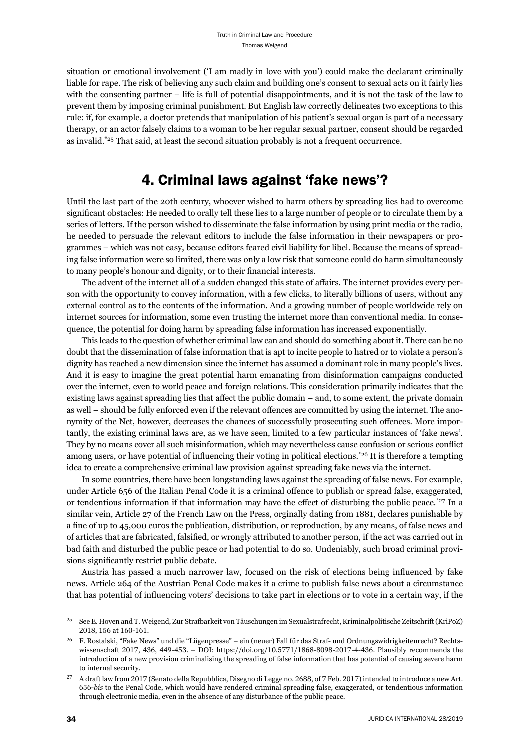situation or emotional involvement ('I am madly in love with you') could make the declarant criminally liable for rape. The risk of believing any such claim and building one's consent to sexual acts on it fairly lies with the consenting partner – life is full of potential disappointments, and it is not the task of the law to prevent them by imposing criminal punishment. But English law correctly delineates two exceptions to this rule: if, for example, a doctor pretends that manipulation of his patient's sexual organ is part of a necessary therapy, or an actor falsely claims to a woman to be her regular sexual partner, consent should be regarded as invalid.<sup>\*25</sup> That said, at least the second situation probably is not a frequent occurrence.

#### 4. Criminal laws against 'fake news'?

Until the last part of the 20th century, whoever wished to harm others by spreading lies had to overcome significant obstacles: He needed to orally tell these lies to a large number of people or to circulate them by a series of letters. If the person wished to disseminate the false information by using print media or the radio, he needed to persuade the relevant editors to include the false information in their newspapers or programmes – which was not easy, because editors feared civil liability for libel. Because the means of spreading false information were so limited, there was only a low risk that someone could do harm simultaneously to many people's honour and dignity, or to their financial interests.

The advent of the internet all of a sudden changed this state of affairs. The internet provides every person with the opportunity to convey information, with a few clicks, to literally billions of users, without any external control as to the contents of the information. And a growing number of people worldwide rely on internet sources for information, some even trusting the internet more than conventional media. In consequence, the potential for doing harm by spreading false information has increased exponentially.

This leads to the question of whether criminal law can and should do something about it. There can be no doubt that the dissemination of false information that is apt to incite people to hatred or to violate a person's dignity has reached a new dimension since the internet has assumed a dominant role in many people's lives. And it is easy to imagine the great potential harm emanating from disinformation campaigns conducted over the internet, even to world peace and foreign relations. This consideration primarily indicates that the existing laws against spreading lies that affect the public domain – and, to some extent, the private domain as well – should be fully enforced even if the relevant offences are committed by using the internet. The anonymity of the Net, however, decreases the chances of successfully prosecuting such offences. More importantly, the existing criminal laws are, as we have seen, limited to a few particular instances of 'fake news'. They by no means cover all such misinformation, which may nevertheless cause confusion or serious conflict among users, or have potential of influencing their voting in political elections.<sup>\*26</sup> It is therefore a tempting idea to create a comprehensive criminal law provision against spreading fake news via the internet.

In some countries, there have been longstanding laws against the spreading of false news. For example, under Article 656 of the Italian Penal Code it is a criminal offence to publish or spread false, exaggerated, or tendentious information if that information may have the effect of disturbing the public peace.\* $27$  In a similar vein, Article 27 of the French Law on the Press, orginally dating from 1881, declares punishable by a fine of up to 45,000 euros the publication, distribution, or reproduction, by any means, of false news and of articles that are fabricated, falsified, or wrongly attributed to another person, if the act was carried out in bad faith and disturbed the public peace or had potential to do so. Undeniably, such broad criminal provisions significantly restrict public debate.

Austria has passed a much narrower law, focused on the risk of elections being influenced by fake news. Article 264 of the Austrian Penal Code makes it a crime to publish false news about a circumstance that has potential of influencing voters' decisions to take part in elections or to vote in a certain way, if the

<sup>&</sup>lt;sup>25</sup> See E. Hoven and T. Weigend, Zur Strafbarkeit von Täuschungen im Sexualstrafrecht, Kriminalpolitische Zeitschrift (KriPoZ) 2018, 156 at 160-161.

ɳɷ F. Rostalski, "Fake News" und die "Lügenpresse" – ein (neuer) Fall für das Straf- und Ordnungswidrigkeitenrecht? Rechtswissenschaft  $2017$ ,  $436$ ,  $449-453$ . – DOI: https://doi.org/ $10.5771/1868-8098-2017-4-436$ . Plausibly recommends the introduction of a new provision criminalising the spreading of false information that has potential of causing severe harm to internal security.

<sup>&</sup>lt;sup>27</sup> A draft law from 2017 (Senato della Repubblica, Disegno di Legge no. 2688, of 7 Feb. 2017) intended to introduce a new Art. ɷɶɷ-*bis* to the Penal Code, which would have rendered criminal spreading false, exaggerated, or tendentious information through electronic media, even in the absence of any disturbance of the public peace.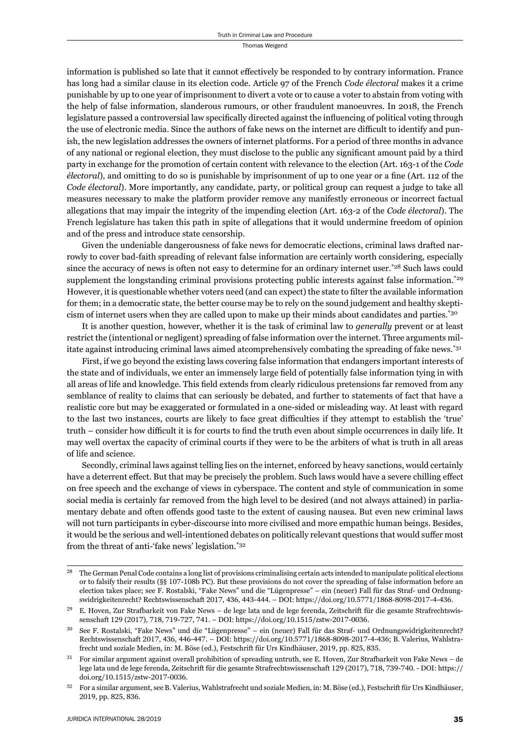information is published so late that it cannot effectively be responded to by contrary information. France has long had a similar clause in its election code. Article 97 of the French *Code électoral* makes it a crime punishable by up to one year of imprisonment to divert a vote or to cause a voter to abstain from voting with the help of false information, slanderous rumours, or other fraudulent manoeuvres. In 2018, the French legislature passed a controversial law specifically directed against the influencing of political voting through the use of electronic media. Since the authors of fake news on the internet are difficult to identify and punish, the new legislation addresses the owners of internet platforms. For a period of three months in advance of any national or regional election, they must disclose to the public any significant amount paid by a third party in exchange for the promotion of certain content with relevance to the election (Art. 163-1 of the *Code électoral*), and omitting to do so is punishable by imprisonment of up to one year or a fine (Art. 112 of the *Code électoral*). More importantly, any candidate, party, or political group can request a judge to take all measures necessary to make the platform provider remove any manifestly erroneous or incorrect factual allegations that may impair the integrity of the impending election (Art. 163-2 of the *Code électoral*). The French legislature has taken this path in spite of allegations that it would undermine freedom of opinion and of the press and introduce state censorship.

Given the undeniable dangerousness of fake news for democratic elections, criminal laws drafted narrowly to cover bad-faith spreading of relevant false information are certainly worth considering, especially since the accuracy of news is often not easy to determine for an ordinary internet user.<sup>\*28</sup> Such laws could supplement the longstanding criminal provisions protecting public interests against false information.<sup>\*29</sup> However, it is questionable whether voters need (and can expect) the state to filter the available information for them; in a democratic state, the better course may be to rely on the sound judgement and healthy skepticism of internet users when they are called upon to make up their minds about candidates and parties.\*30

It is another question, however, whether it is the task of criminal law to *generally* prevent or at least restrict the (intentional or negligent) spreading of false information over the internet. Three arguments militate against introducing criminal laws aimed atcomprehensively combating the spreading of fake news.<sup>\*31</sup>

First, if we go beyond the existing laws covering false information that endangers important interests of the state and of individuals, we enter an immensely large field of potentially false information tying in with all areas of life and knowledge. This field extends from clearly ridiculous pretensions far removed from any semblance of reality to claims that can seriously be debated, and further to statements of fact that have a realistic core but may be exaggerated or formulated in a one-sided or misleading way. At least with regard to the last two instances, courts are likely to face great difficulties if they attempt to establish the 'true' truth – consider how difficult it is for courts to find the truth even about simple occurrences in daily life. It may well overtax the capacity of criminal courts if they were to be the arbiters of what is truth in all areas of life and science.

Secondly, criminal laws against telling lies on the internet, enforced by heavy sanctions, would certainly have a deterrent effect. But that may be precisely the problem. Such laws would have a severe chilling effect on free speech and the exchange of views in cyberspace. The content and style of communication in some social media is certainly far removed from the high level to be desired (and not always attained) in parliamentary debate and often offends good taste to the extent of causing nausea. But even new criminal laws will not turn participants in cyber-discourse into more civilised and more empathic human beings. Besides, it would be the serious and well-intentioned debates on politically relevant questions that would suffer most from the threat of anti-'fake news' legislation.\*32

<sup>&</sup>lt;sup>28</sup> The German Penal Code contains a long list of provisions criminalising certain acts intended to manipulate political elections or to falsify their results (§§ 107-108b PC). But these provisions do not cover the spreading of false information before an election takes place; see F. Rostalski, "Fake News" und die "Lügenpresse" – ein (neuer) Fall für das Straf- und Ordnungswidrigkeitenrecht? Rechtswissenschaft 2017, 436, 443-444. – DOI: https://doi.org/10.5771/1868-8098-2017-4-436.

E. Hoven, Zur Strafbarkeit von Fake News – de lege lata und de lege ferenda, Zeitschrift für die gesamte Strafrechtswissenschaft 129 (2017), 718, 719-727, 741. – DOI: https://doi.org/10.1515/zstw-2017-0036.

See F. Rostalski, "Fake News" und die "Lügenpresse" – ein (neuer) Fall für das Straf- und Ordnungswidrigkeitenrecht? Rechtswissenschaft 2017, 436, 446-447. – DOI: https://doi.org/10.5771/1868-8098-2017-4-436; B. Valerius, Wahlstrafrecht und soziale Medien, in: M. Böse (ed.), Festschrift für Urs Kindhäuser, 2019, pp. 825, 835.

For similar argument against overall prohibition of spreading untruth, see E. Hoven, Zur Strafbarkeit von Fake News – de lege lata und de lege ferenda, Zeitschrift für die gesamte Strafrechtswissenschaft 129 (2017), 718, 739-740. - DOI: https:// doi.org/10.1515/zstw-2017-0036.

<sup>&</sup>lt;sup>32</sup> For a similar argument, see B. Valerius, Wahlstrafrecht und soziale Medien, in: M. Böse (ed.), Festschrift für Urs Kindhäuser, 2019, pp. 825, 836.